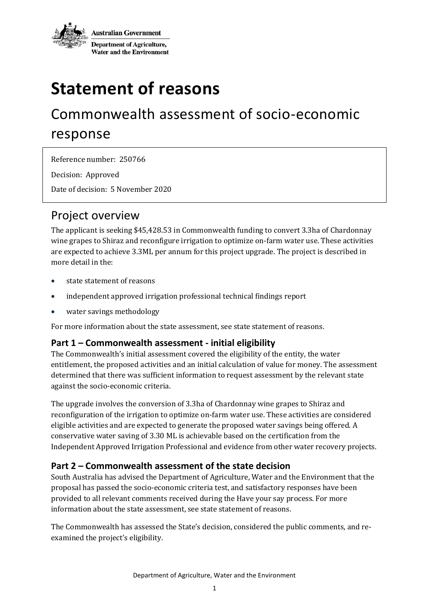

# **Statement of reasons**

## Commonwealth assessment of socio-economic response

Reference number: 250766 Decision: Approved

Date of decision: 5 November 2020

### Project overview

The applicant is seeking \$45,428.53 in Commonwealth funding to convert 3.3ha of Chardonnay wine grapes to Shiraz and reconfigure irrigation to optimize on-farm water use. These activities are expected to achieve 3.3ML per annum for this project upgrade. The project is described in more detail in the:

- [state statement of reasons](file:///J:/Efficiency%20Measures/COFFIE/WEPS/WEPS%20-%20Info%20relating%20to%20new%20program/WEPs%20Project%20Folders/Loyd%202020-002707E/Phase%201%20-%20Stage%204%20-%20New%20Assessment%20Package/34765%20-%20SOUTH%20AUSTRALIA%20-%20ADDITIONAL%20EFFICIENCY%20MEASURES%20CRITERIA%20ASSESS....doc)
- [independent approved irrigation professional technical findings report](file://///act001cl08fs02/watermog$/CorpData/Efficiency%20Measures/COFFIE/WEPS/WEPS%20-%20Info%20relating%20to%20new%20program/WEPs%20Project%20Folders/Loyd%202020-002707E/Phase%201%20-%20Stage%204%20-%20New%20Assessment%20Package/16-Lloyd%20-%20IAIP%20Technical%20Report.pdf)
- [water savings methodology](file://///act001cl08fs02/watermog$/CorpData/Efficiency%20Measures/COFFIE/WEPS/WEPS%20-%20Info%20relating%20to%20new%20program/WEPs%20Project%20Folders/Loyd%202020-002707E/Phase%201%20-%20Stage%204%20-%20New%20Assessment%20Package/16-Lloyd%20-%20Stage%204%20-%20Attachment%20D4%20-%20Water%20Savings%20Methodology.pdf)

For more information about the state assessment, see state statement of reasons.

#### **Part 1 – Commonwealth assessment - initial eligibility**

The Commonwealth's initial assessment covered the eligibility of the entity, the water entitlement, the proposed activities and an initial calculation of value for money. The assessment determined that there was sufficient information to request assessment by the relevant state against the socio-economic criteria.

The upgrade involves the conversion of 3.3ha of Chardonnay wine grapes to Shiraz and reconfiguration of the irrigation to optimize on-farm water use. These activities are considered eligible activities and are expected to generate the proposed water savings being offered. A conservative water saving of 3.30 ML is achievable based on the certification from the Independent Approved Irrigation Professional and evidence from other water recovery projects.

#### **Part 2 – Commonwealth assessment of the state decision**

South Australia has advised the Department of Agriculture, Water and the Environment that the proposal has passed the socio-economic criteria test, and satisfactory responses have been provided to all relevant comments received during the Have your say process. For more information about the state assessment, see state statement of reasons.

The Commonwealth has assessed the State's decision, considered the public comments, and reexamined the project's eligibility.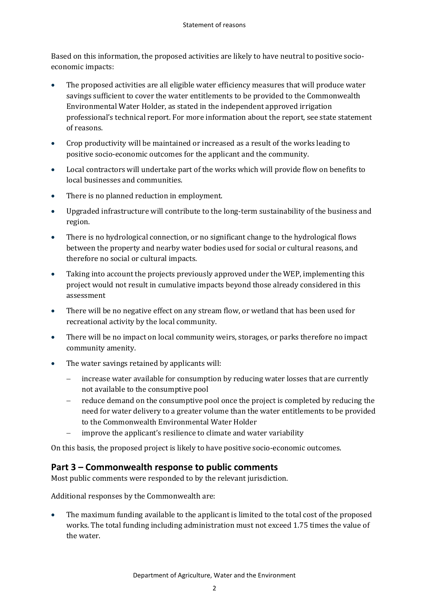Based on this information, the proposed activities are likely to have neutral to positive socioeconomic impacts:

- The proposed activities are all eligible water efficiency measures that will produce water savings sufficient to cover the water entitlements to be provided to the Commonwealth Environmental Water Holder, as stated in the independent approved irrigation professional's [technical report.](file://///act001cl08fs02/watermog$/CorpData/Efficiency%20Measures/COFFIE/WEPS/WEPS%20-%20Info%20relating%20to%20new%20program/WEPs%20Project%20Folders/Loyd%202020-002707E/Phase%201%20-%20Stage%204%20-%20New%20Assessment%20Package/16-Lloyd%20-%20IAIP%20Technical%20Report.pdf) For more information about the report, see state statement of reasons.
- Crop productivity will be maintained or increased as a result of the works leading to positive socio-economic outcomes for the applicant and the community.
- Local contractors will undertake part of the works which will provide flow on benefits to local businesses and communities.
- There is no planned reduction in employment.
- Upgraded infrastructure will contribute to the long-term sustainability of the business and region.
- There is no hydrological connection, or no significant change to the hydrological flows between the property and nearby water bodies used for social or cultural reasons, and therefore no social or cultural impacts.
- Taking into account the projects previously approved under the WEP, implementing this project would not result in cumulative impacts beyond those already considered in this assessment
- There will be no negative effect on any stream flow, or wetland that has been used for recreational activity by the local community.
- There will be no impact on local community weirs, storages, or parks therefore no impact community amenity.
- The water savings retained by applicants will:
	- increase water available for consumption by reducing water losses that are currently not available to the consumptive pool
	- reduce demand on the consumptive pool once the project is completed by reducing the need for water delivery to a greater volume than the water entitlements to be provided to the Commonwealth Environmental Water Holder
	- improve the applicant's resilience to climate and water variability

On this basis, the proposed project is likely to have positive socio-economic outcomes.

#### **Part 3 – Commonwealth response to public comments**

Most public comments were responded to by the relevant jurisdiction.

Additional responses by the Commonwealth are:

• The maximum funding available to the applicant is limited to the total cost of the proposed works. The total funding including administration must not exceed 1.75 times the value of the water.